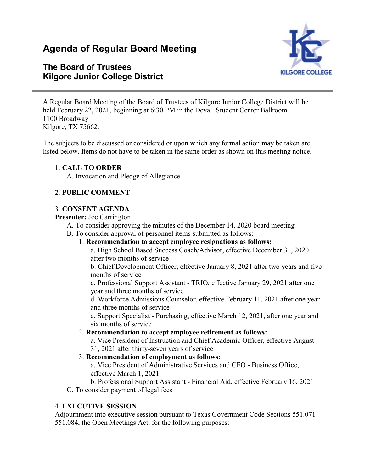# **Agenda of Regular Board Meeting**

# **The Board of Trustees Kilgore Junior College District**



A Regular Board Meeting of the Board of Trustees of Kilgore Junior College District will be held February 22, 2021, beginning at 6:30 PM in the Devall Student Center Ballroom 1100 Broadway Kilgore, TX 75662.

The subjects to be discussed or considered or upon which any formal action may be taken are listed below. Items do not have to be taken in the same order as shown on this meeting notice.

#### 1. **CALL TO ORDER**

A. Invocation and Pledge of Allegiance

### 2. **PUBLIC COMMENT**

#### 3. **CONSENT AGENDA**

#### **Presenter:** Joe Carrington

- A. To consider approving the minutes of the December 14, 2020 board meeting
- B. To consider approval of personnel items submitted as follows:
	- 1. **Recommendation to accept employee resignations as follows:**

a. High School Based Success Coach/Advisor, effective December 31, 2020 after two months of service

b. Chief Development Officer, effective January 8, 2021 after two years and five months of service

c. Professional Support Assistant - TRIO, effective January 29, 2021 after one year and three months of service

d. Workforce Admissions Counselor, effective February 11, 2021 after one year and three months of service

e. Support Specialist - Purchasing, effective March 12, 2021, after one year and six months of service

#### 2. **Recommendation to accept employee retirement as follows:**

a. Vice President of Instruction and Chief Academic Officer, effective August 31, 2021 after thirty-seven years of service

#### 3. **Recommendation of employment as follows:**

a. Vice President of Administrative Services and CFO - Business Office, effective March 1, 2021

b. Professional Support Assistant - Financial Aid, effective February 16, 2021 C. To consider payment of legal fees

#### 4. **EXECUTIVE SESSION**

Adjournment into executive session pursuant to Texas Government Code Sections 551.071 - 551.084, the Open Meetings Act, for the following purposes: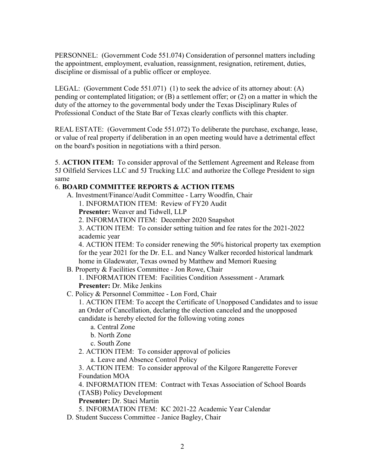PERSONNEL: (Government Code 551.074) Consideration of personnel matters including the appointment, employment, evaluation, reassignment, resignation, retirement, duties, discipline or dismissal of a public officer or employee.

LEGAL: (Government Code 551.071) (1) to seek the advice of its attorney about: (A) pending or contemplated litigation; or (B) a settlement offer; or (2) on a matter in which the duty of the attorney to the governmental body under the Texas Disciplinary Rules of Professional Conduct of the State Bar of Texas clearly conflicts with this chapter.

REAL ESTATE: (Government Code 551.072) To deliberate the purchase, exchange, lease, or value of real property if deliberation in an open meeting would have a detrimental effect on the board's position in negotiations with a third person.

5. **ACTION ITEM:** To consider approval of the Settlement Agreement and Release from 5J Oilfield Services LLC and 5J Trucking LLC and authorize the College President to sign same

## 6. **BOARD COMMITTEE REPORTS & ACTION ITEMS**

A. Investment/Finance/Audit Committee - Larry Woodfin, Chair

1. INFORMATION ITEM: Review of FY20 Audit

**Presenter:** Weaver and Tidwell, LLP

2. INFORMATION ITEM: December 2020 Snapshot

3. ACTION ITEM: To consider setting tuition and fee rates for the 2021-2022 academic year

4. ACTION ITEM: To consider renewing the 50% historical property tax exemption for the year 2021 for the Dr. E.L. and Nancy Walker recorded historical landmark home in Gladewater, Texas owned by Matthew and Memori Ruesing

B. Property & Facilities Committee - Jon Rowe, Chair 1. INFORMATION ITEM: Facilities Condition Assessment - Aramark **Presenter:** Dr. Mike Jenkins

C. Policy & Personnel Committee - Lon Ford, Chair

1. ACTION ITEM: To accept the Certificate of Unopposed Candidates and to issue an Order of Cancellation, declaring the election canceled and the unopposed candidate is hereby elected for the following voting zones

- a. Central Zone
- b. North Zone
- c. South Zone
- 2. ACTION ITEM: To consider approval of policies

a. Leave and Absence Control Policy

3. ACTION ITEM: To consider approval of the Kilgore Rangerette Forever Foundation MOA

4. INFORMATION ITEM: Contract with Texas Association of School Boards (TASB) Policy Development

**Presenter:** Dr. Staci Martin

5. INFORMATION ITEM: KC 2021-22 Academic Year Calendar

D. Student Success Committee - Janice Bagley, Chair